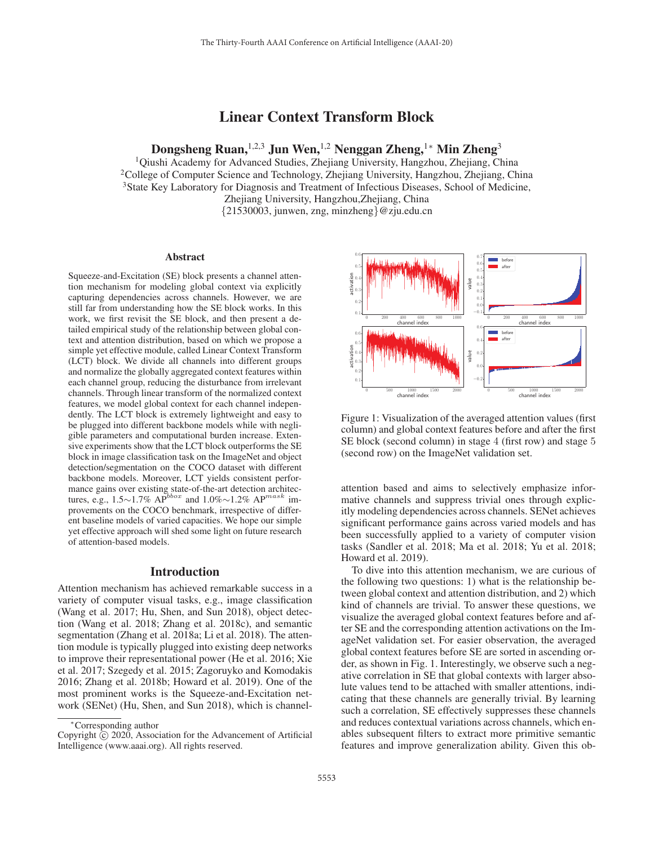# Linear Context Transform Block

Dongsheng Ruan,<sup>1,2,3</sup> Jun Wen,<sup>1,2</sup> Nenggan Zheng,<sup>1</sup>\* Min Zheng<sup>3</sup>

1Qiushi Academy for Advanced Studies, Zhejiang University, Hangzhou, Zhejiang, China 2College of Computer Science and Technology, Zhejiang University, Hangzhou, Zhejiang, China 3State Key Laboratory for Diagnosis and Treatment of Infectious Diseases, School of Medicine, Zhejiang University, Hangzhou,Zhejiang, China {21530003, junwen, zng, minzheng}@zju.edu.cn

#### Abstract

Squeeze-and-Excitation (SE) block presents a channel attention mechanism for modeling global context via explicitly capturing dependencies across channels. However, we are still far from understanding how the SE block works. In this work, we first revisit the SE block, and then present a detailed empirical study of the relationship between global context and attention distribution, based on which we propose a simple yet effective module, called Linear Context Transform (LCT) block. We divide all channels into different groups and normalize the globally aggregated context features within each channel group, reducing the disturbance from irrelevant channels. Through linear transform of the normalized context features, we model global context for each channel independently. The LCT block is extremely lightweight and easy to be plugged into different backbone models while with negligible parameters and computational burden increase. Extensive experiments show that the LCT block outperforms the SE block in image classification task on the ImageNet and object detection/segmentation on the COCO dataset with different backbone models. Moreover, LCT yields consistent performance gains over existing state-of-the-art detection architectures, e.g., 1.5∼1.7% AP<sup>bbox</sup> and 1.0%∼1.2% AP<sup>mask</sup> improvements on the COCO benchmark, irrespective of different baseline models of varied capacities. We hope our simple yet effective approach will shed some light on future research of attention-based models.

# Introduction

Attention mechanism has achieved remarkable success in a variety of computer visual tasks, e.g., image classification (Wang et al. 2017; Hu, Shen, and Sun 2018), object detection (Wang et al. 2018; Zhang et al. 2018c), and semantic segmentation (Zhang et al. 2018a; Li et al. 2018). The attention module is typically plugged into existing deep networks to improve their representational power (He et al. 2016; Xie et al. 2017; Szegedy et al. 2015; Zagoruyko and Komodakis 2016; Zhang et al. 2018b; Howard et al. 2019). One of the most prominent works is the Squeeze-and-Excitation network (SENet) (Hu, Shen, and Sun 2018), which is channel-



Figure 1: Visualization of the averaged attention values (first column) and global context features before and after the first SE block (second column) in stage 4 (first row) and stage 5 (second row) on the ImageNet validation set.

attention based and aims to selectively emphasize informative channels and suppress trivial ones through explicitly modeling dependencies across channels. SENet achieves significant performance gains across varied models and has been successfully applied to a variety of computer vision tasks (Sandler et al. 2018; Ma et al. 2018; Yu et al. 2018; Howard et al. 2019).

To dive into this attention mechanism, we are curious of the following two questions: 1) what is the relationship between global context and attention distribution, and 2) which kind of channels are trivial. To answer these questions, we visualize the averaged global context features before and after SE and the corresponding attention activations on the ImageNet validation set. For easier observation, the averaged global context features before SE are sorted in ascending order, as shown in Fig. 1. Interestingly, we observe such a negative correlation in SE that global contexts with larger absolute values tend to be attached with smaller attentions, indicating that these channels are generally trivial. By learning such a correlation, SE effectively suppresses these channels and reduces contextual variations across channels, which enables subsequent filters to extract more primitive semantic features and improve generalization ability. Given this ob-

<sup>∗</sup>Corresponding author

Copyright  $\tilde{c}$  2020, Association for the Advancement of Artificial Intelligence (www.aaai.org). All rights reserved.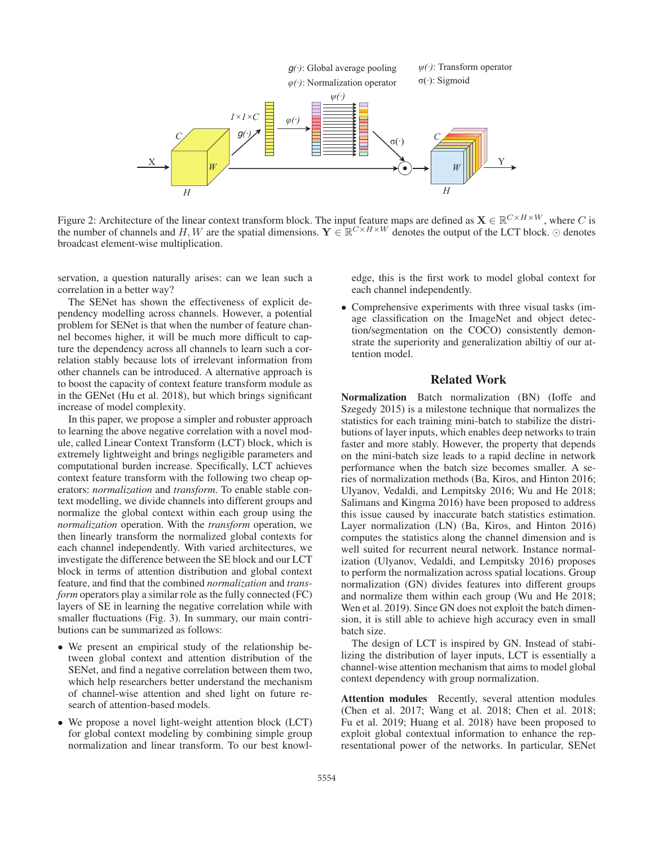

Figure 2: Architecture of the linear context transform block. The input feature maps are defined as  $\mathbf{X} \in \mathbb{R}^{C \times H \times W}$ , where C is the number of channels and H, W are the spatial dimensions.  $\mathbf{Y} \in \mathbb{R}^{C \times H \times W}$  denotes the output of the LCT block.  $\odot$  denotes broadcast element-wise multiplication.

servation, a question naturally arises: can we lean such a correlation in a better way?

The SENet has shown the effectiveness of explicit dependency modelling across channels. However, a potential problem for SENet is that when the number of feature channel becomes higher, it will be much more difficult to capture the dependency across all channels to learn such a correlation stably because lots of irrelevant information from other channels can be introduced. A alternative approach is to boost the capacity of context feature transform module as in the GENet (Hu et al. 2018), but which brings significant increase of model complexity.

In this paper, we propose a simpler and robuster approach to learning the above negative correlation with a novel module, called Linear Context Transform (LCT) block, which is extremely lightweight and brings negligible parameters and computational burden increase. Specifically, LCT achieves context feature transform with the following two cheap operators: *normalization* and *transform*. To enable stable context modelling, we divide channels into different groups and normalize the global context within each group using the *normalization* operation. With the *transform* operation, we then linearly transform the normalized global contexts for each channel independently. With varied architectures, we investigate the difference between the SE block and our LCT block in terms of attention distribution and global context feature, and find that the combined *normalization* and *transform* operators play a similar role as the fully connected (FC) layers of SE in learning the negative correlation while with smaller fluctuations (Fig. 3). In summary, our main contributions can be summarized as follows:

- We present an empirical study of the relationship between global context and attention distribution of the SENet, and find a negative correlation between them two, which help researchers better understand the mechanism of channel-wise attention and shed light on future research of attention-based models.
- We propose a novel light-weight attention block (LCT) for global context modeling by combining simple group normalization and linear transform. To our best knowl-

edge, this is the first work to model global context for each channel independently.

• Comprehensive experiments with three visual tasks (image classification on the ImageNet and object detection/segmentation on the COCO) consistently demonstrate the superiority and generalization abiltiy of our attention model.

# Related Work

Normalization Batch normalization (BN) (Ioffe and Szegedy 2015) is a milestone technique that normalizes the statistics for each training mini-batch to stabilize the distributions of layer inputs, which enables deep networks to train faster and more stably. However, the property that depends on the mini-batch size leads to a rapid decline in network performance when the batch size becomes smaller. A series of normalization methods (Ba, Kiros, and Hinton 2016; Ulyanov, Vedaldi, and Lempitsky 2016; Wu and He 2018; Salimans and Kingma 2016) have been proposed to address this issue caused by inaccurate batch statistics estimation. Layer normalization (LN) (Ba, Kiros, and Hinton 2016) computes the statistics along the channel dimension and is well suited for recurrent neural network. Instance normalization (Ulyanov, Vedaldi, and Lempitsky 2016) proposes to perform the normalization across spatial locations. Group normalization (GN) divides features into different groups and normalize them within each group (Wu and He 2018; Wen et al. 2019). Since GN does not exploit the batch dimension, it is still able to achieve high accuracy even in small batch size.

The design of LCT is inspired by GN. Instead of stabilizing the distribution of layer inputs, LCT is essentially a channel-wise attention mechanism that aims to model global context dependency with group normalization.

Attention modules Recently, several attention modules (Chen et al. 2017; Wang et al. 2018; Chen et al. 2018; Fu et al. 2019; Huang et al. 2018) have been proposed to exploit global contextual information to enhance the representational power of the networks. In particular, SENet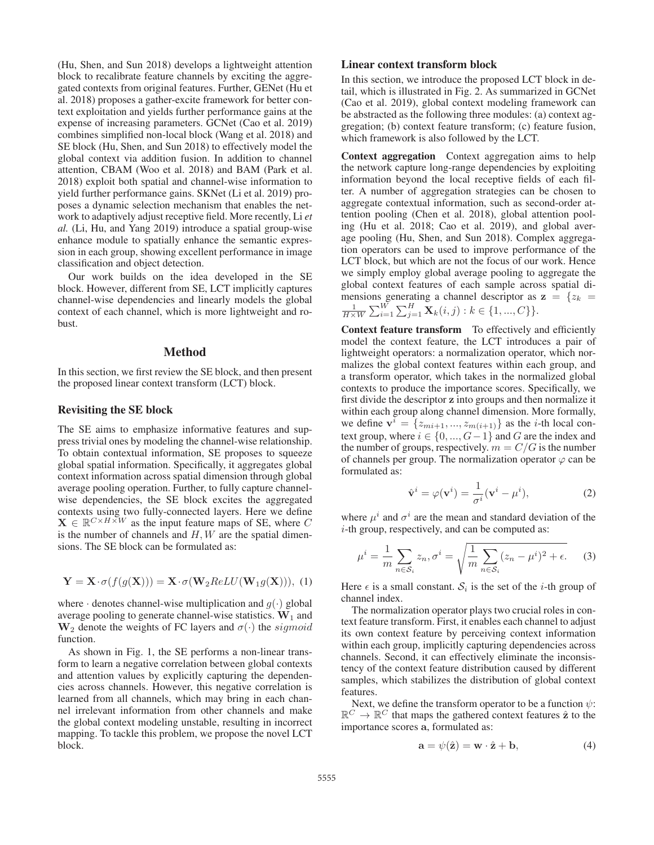(Hu, Shen, and Sun 2018) develops a lightweight attention block to recalibrate feature channels by exciting the aggregated contexts from original features. Further, GENet (Hu et al. 2018) proposes a gather-excite framework for better context exploitation and yields further performance gains at the expense of increasing parameters. GCNet (Cao et al. 2019) combines simplified non-local block (Wang et al. 2018) and SE block (Hu, Shen, and Sun 2018) to effectively model the global context via addition fusion. In addition to channel attention, CBAM (Woo et al. 2018) and BAM (Park et al. 2018) exploit both spatial and channel-wise information to yield further performance gains. SKNet (Li et al. 2019) proposes a dynamic selection mechanism that enables the network to adaptively adjust receptive field. More recently, Li *et al.* (Li, Hu, and Yang 2019) introduce a spatial group-wise enhance module to spatially enhance the semantic expression in each group, showing excellent performance in image classification and object detection.

Our work builds on the idea developed in the SE block. However, different from SE, LCT implicitly captures channel-wise dependencies and linearly models the global context of each channel, which is more lightweight and robust.

# Method

In this section, we first review the SE block, and then present the proposed linear context transform (LCT) block.

#### Revisiting the SE block

The SE aims to emphasize informative features and suppress trivial ones by modeling the channel-wise relationship. To obtain contextual information, SE proposes to squeeze global spatial information. Specifically, it aggregates global context information across spatial dimension through global average pooling operation. Further, to fully capture channelwise dependencies, the SE block excites the aggregated contexts using two fully-connected layers. Here we define  $\mathbf{X} \in \mathbb{R}^{C \times H \times W}$  as the input feature maps of SE, where C is the number of channels and  $H, W$  are the spatial dimensions. The SE block can be formulated as:

$$
\mathbf{Y} = \mathbf{X} \cdot \sigma(f(g(\mathbf{X}))) = \mathbf{X} \cdot \sigma(\mathbf{W}_2 ReLU(\mathbf{W}_1 g(\mathbf{X}))), \tag{1}
$$

where  $\cdot$  denotes channel-wise multiplication and  $g(\cdot)$  global average pooling to generate channel-wise statistics.  $W_1$  and  $\mathbf{W}_2$  denote the weights of FC layers and  $\sigma(\cdot)$  the *sigmoid* function.

As shown in Fig. 1, the SE performs a non-linear transform to learn a negative correlation between global contexts and attention values by explicitly capturing the dependencies across channels. However, this negative correlation is learned from all channels, which may bring in each channel irrelevant information from other channels and make the global context modeling unstable, resulting in incorrect mapping. To tackle this problem, we propose the novel LCT block.

# Linear context transform block

In this section, we introduce the proposed LCT block in detail, which is illustrated in Fig. 2. As summarized in GCNet (Cao et al. 2019), global context modeling framework can be abstracted as the following three modules: (a) context aggregation; (b) context feature transform; (c) feature fusion, which framework is also followed by the LCT.

Context aggregation Context aggregation aims to help the network capture long-range dependencies by exploiting information beyond the local receptive fields of each filter. A number of aggregation strategies can be chosen to aggregate contextual information, such as second-order attention pooling (Chen et al. 2018), global attention pooling (Hu et al. 2018; Cao et al. 2019), and global average pooling (Hu, Shen, and Sun 2018). Complex aggregation operators can be used to improve performance of the LCT block, but which are not the focus of our work. Hence we simply employ global average pooling to aggregate the global context features of each sample across spatial dimensions generating a channel descriptor as  $z = \{z_k =$  $\frac{1}{H \times W} \sum_{i=1}^{W} \sum_{j=1}^{H} \mathbf{X}_k(i,j) : k \in \{1, ..., C\}$ .

Context feature transform To effectively and efficiently model the context feature, the LCT introduces a pair of lightweight operators: a normalization operator, which normalizes the global context features within each group, and a transform operator, which takes in the normalized global contexts to produce the importance scores. Specifically, we first divide the descriptor **z** into groups and then normalize it within each group along channel dimension. More formally, we define  $\mathbf{v}^i = \{z_{mi+1}, ..., z_{m(i+1)}\}$  as the *i*-th local context group, where  $i \in \{0, ..., G-1\}$  and G are the index and the number of groups, respectively.  $m = C/G$  is the number of channels per group. The normalization operator  $\varphi$  can be formulated as:

$$
\hat{\mathbf{v}}^i = \varphi(\mathbf{v}^i) = \frac{1}{\sigma^i}(\mathbf{v}^i - \mu^i),\tag{2}
$$

where  $\mu^{i}$  and  $\sigma^{i}$  are the mean and standard deviation of the i-th group, respectively, and can be computed as:

$$
\mu^i = \frac{1}{m} \sum_{n \in \mathcal{S}_i} z_n, \sigma^i = \sqrt{\frac{1}{m} \sum_{n \in \mathcal{S}_i} (z_n - \mu^i)^2 + \epsilon}.
$$
 (3)

Here  $\epsilon$  is a small constant.  $S_i$  is the set of the *i*-th group of channel index.

The normalization operator plays two crucial roles in context feature transform. First, it enables each channel to adjust its own context feature by perceiving context information within each group, implicitly capturing dependencies across channels. Second, it can effectively eliminate the inconsistency of the context feature distribution caused by different samples, which stabilizes the distribution of global context features.

Next, we define the transform operator to be a function  $\psi$ :  $\mathbb{R}^C \to \mathbb{\bar{R}}^C$  that maps the gathered context features  $\hat{\mathbf{z}}$  to the importance scores **a**, formulated as:

$$
\mathbf{a} = \psi(\hat{\mathbf{z}}) = \mathbf{w} \cdot \hat{\mathbf{z}} + \mathbf{b},\tag{4}
$$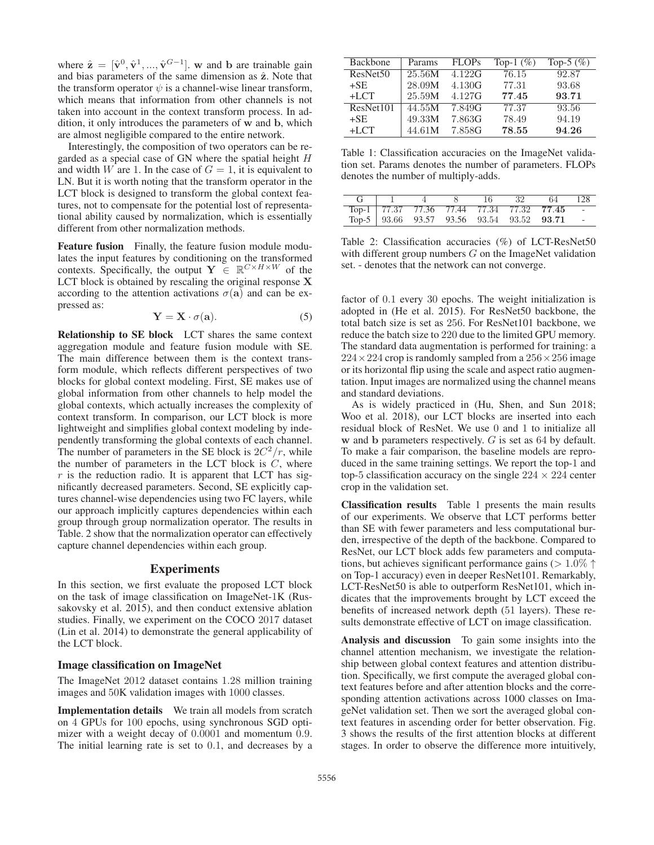where  $\hat{\mathbf{z}} = [\hat{\mathbf{v}}^0, \hat{\mathbf{v}}^1, ..., \hat{\mathbf{v}}^{G-1}]$ . **w** and **b** are trainable gain and bias parameters of the same dimension as  $\hat{z}$ . Note that the transform operator  $\psi$  is a channel-wise linear transform, which means that information from other channels is not taken into account in the context transform process. In addition, it only introduces the parameters of **w** and **b**, which are almost negligible compared to the entire network.

Interestingly, the composition of two operators can be regarded as a special case of GN where the spatial height H and width W are 1. In the case of  $G = 1$ , it is equivalent to LN. But it is worth noting that the transform operator in the LCT block is designed to transform the global context features, not to compensate for the potential lost of representational ability caused by normalization, which is essentially different from other normalization methods.

Feature fusion Finally, the feature fusion module modulates the input features by conditioning on the transformed contexts. Specifically, the output **Y**  $\in \mathbb{R}^{C \times H \times W}$  of the LCT block is obtained by rescaling the original response **X** according to the attention activations  $\sigma(\mathbf{a})$  and can be expressed as:

$$
Y = X \cdot \sigma(a). \tag{5}
$$

Relationship to SE block LCT shares the same context aggregation module and feature fusion module with SE. The main difference between them is the context transform module, which reflects different perspectives of two blocks for global context modeling. First, SE makes use of global information from other channels to help model the global contexts, which actually increases the complexity of context transform. In comparison, our LCT block is more lightweight and simplifies global context modeling by independently transforming the global contexts of each channel. The number of parameters in the SE block is  $2C^2/r$ , while the number of parameters in the LCT block is  $C$ , where  $r$  is the reduction radio. It is apparent that LCT has significantly decreased parameters. Second, SE explicitly captures channel-wise dependencies using two FC layers, while our approach implicitly captures dependencies within each group through group normalization operator. The results in Table. 2 show that the normalization operator can effectively capture channel dependencies within each group.

# Experiments

In this section, we first evaluate the proposed LCT block on the task of image classification on ImageNet-1K (Russakovsky et al. 2015), and then conduct extensive ablation studies. Finally, we experiment on the COCO 2017 dataset (Lin et al. 2014) to demonstrate the general applicability of the LCT block.

## Image classification on ImageNet

The ImageNet 2012 dataset contains 1.28 million training images and 50K validation images with 1000 classes.

Implementation details We train all models from scratch on 4 GPUs for 100 epochs, using synchronous SGD optimizer with a weight decay of 0.0001 and momentum 0.9. The initial learning rate is set to 0.1, and decreases by a

| Backbone             | Params | <b>FLOPs</b> | Top-1 $(\%)$ | Top-5 $(\%)$ |
|----------------------|--------|--------------|--------------|--------------|
| ResNet <sub>50</sub> | 25.56M | 4.122G       | 76.15        | 92.87        |
| $+SE$                | 28.09M | 4.130G       | 77.31        | 93.68        |
| $+LCT$               | 25.59M | 4.127G       | 77.45        | 93.71        |
| ResNet101            | 44.55M | 7.849G       | 77.37        | 93.56        |
| $+SE$                | 49.33M | 7.863G       | 78.49        | 94.19        |
| $+LCT$               | 44.61M | 7.858G       | 78.55        | 94.26        |

Table 1: Classification accuracies on the ImageNet validation set. Params denotes the number of parameters. FLOPs denotes the number of multiply-adds.

|  |  | 32 | 64                                            | 128 |
|--|--|----|-----------------------------------------------|-----|
|  |  |    | Top-1 77.37 77.36 77.44 77.34 77.32 77.45 -   |     |
|  |  |    | Top-5   93.66 93.57 93.56 93.54 93.52 93.71 - |     |

Table 2: Classification accuracies (%) of LCT-ResNet50 with different group numbers  $G$  on the ImageNet validation set. - denotes that the network can not converge.

factor of 0.1 every 30 epochs. The weight initialization is adopted in (He et al. 2015). For ResNet50 backbone, the total batch size is set as 256. For ResNet101 backbone, we reduce the batch size to 220 due to the limited GPU memory. The standard data augmentation is performed for training: a  $224 \times 224$  crop is randomly sampled from a  $256 \times 256$  image or its horizontal flip using the scale and aspect ratio augmentation. Input images are normalized using the channel means and standard deviations.

As is widely practiced in (Hu, Shen, and Sun 2018; Woo et al. 2018), our LCT blocks are inserted into each residual block of ResNet. We use 0 and 1 to initialize all **w** and **b** parameters respectively. G is set as 64 by default. To make a fair comparison, the baseline models are reproduced in the same training settings. We report the top-1 and top-5 classification accuracy on the single  $224 \times 224$  center crop in the validation set.

Classification results Table 1 presents the main results of our experiments. We observe that LCT performs better than SE with fewer parameters and less computational burden, irrespective of the depth of the backbone. Compared to ResNet, our LCT block adds few parameters and computations, but achieves significant performance gains ( $> 1.0\%$   $\uparrow$ on Top-1 accuracy) even in deeper ResNet101. Remarkably, LCT-ResNet50 is able to outperform ResNet101, which indicates that the improvements brought by LCT exceed the benefits of increased network depth (51 layers). These results demonstrate effective of LCT on image classification.

Analysis and discussion To gain some insights into the channel attention mechanism, we investigate the relationship between global context features and attention distribution. Specifically, we first compute the averaged global context features before and after attention blocks and the corresponding attention activations across 1000 classes on ImageNet validation set. Then we sort the averaged global context features in ascending order for better observation. Fig. 3 shows the results of the first attention blocks at different stages. In order to observe the difference more intuitively,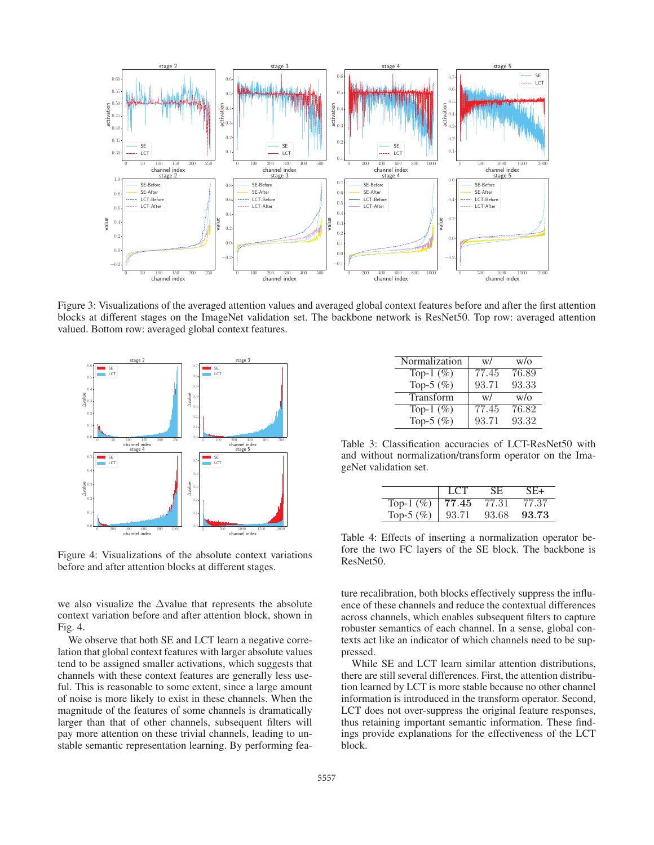

Figure 3: Visualizations of the averaged attention values and averaged global context features before and after the first attention blocks at different stages on the ImageNet validation set. The backbone network is ResNet50. Top row: averaged attention valued. Bottom row: averaged global context features.



Figure 4: Visualizations of the absolute context variations before and after attention blocks at different stages.

we also visualize the  $\Delta$ value that represents the absolute context variation before and after attention block, shown in Fig. 4.

We observe that both SE and LCT learn a negative correlation that global context features with larger absolute values tend to be assigned smaller activations, which suggests that channels with these context features are generally less useful. This is reasonable to some extent, since a large amount of noise is more likely to exist in these channels. When the magnitude of the features of some channels is dramatically larger than that of other channels, subsequent filters will pay more attention on these trivial channels, leading to unstable semantic representation learning. By performing fea-

| Normalization | w/    | W/O   |
|---------------|-------|-------|
| Top-1 $(\%)$  | 77.45 | 76.89 |
| Top-5 $(\% )$ | 93.71 | 93.33 |
| Transform     | W/    | W/O   |
| Top-1 $(\%)$  | 77.45 | 76.82 |
| Top-5 $(\% )$ | 93.71 | 93.32 |

Table 3: Classification accuracies of LCT-ResNet50 with and without normalization/transform operator on the ImageNet validation set.

|               | LCT.  | SE.   | SE+   |
|---------------|-------|-------|-------|
| Top-1 $(\%)$  | 77.45 | 77.31 | 77.37 |
| Top-5 $(\% )$ | 93.71 | 93.68 | 93.73 |

Table 4: Effects of inserting a normalization operator before the two FC layers of the SE block. The backbone is ResNet50.

ture recalibration, both blocks effectively suppress the influence of these channels and reduce the contextual differences across channels, which enables subsequent filters to capture robuster semantics of each channel. In a sense, global contexts act like an indicator of which channels need to be suppressed.

While SE and LCT learn similar attention distributions, there are still several differences. First, the attention distribution learned by LCT is more stable because no other channel information is introduced in the transform operator. Second, LCT does not over-suppress the original feature responses, thus retaining important semantic information. These findings provide explanations for the effectiveness of the LCT block.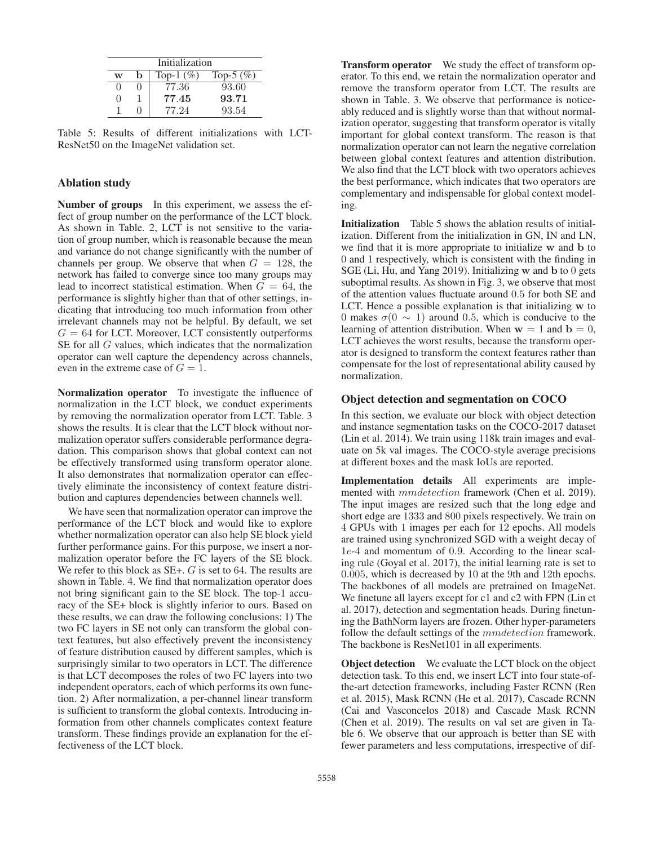| Initialization |   |              |              |  |  |  |  |
|----------------|---|--------------|--------------|--|--|--|--|
| W              | b | Top-1 $(\%)$ | Top-5 $(\%)$ |  |  |  |  |
|                |   | 77.36        | 93.60        |  |  |  |  |
| 0              |   | 77.45        | 93.71        |  |  |  |  |
|                |   | 77.24        | 93.54        |  |  |  |  |

Table 5: Results of different initializations with LCT-ResNet50 on the ImageNet validation set.

# Ablation study

Number of groups In this experiment, we assess the effect of group number on the performance of the LCT block. As shown in Table. 2, LCT is not sensitive to the variation of group number, which is reasonable because the mean and variance do not change significantly with the number of channels per group. We observe that when  $G = 128$ , the network has failed to converge since too many groups may lead to incorrect statistical estimation. When  $G = 64$ , the performance is slightly higher than that of other settings, indicating that introducing too much information from other irrelevant channels may not be helpful. By default, we set  $G = 64$  for LCT. Moreover, LCT consistently outperforms SE for all G values, which indicates that the normalization operator can well capture the dependency across channels, even in the extreme case of  $G = 1$ .

Normalization operator To investigate the influence of normalization in the LCT block, we conduct experiments by removing the normalization operator from LCT. Table. 3 shows the results. It is clear that the LCT block without normalization operator suffers considerable performance degradation. This comparison shows that global context can not be effectively transformed using transform operator alone. It also demonstrates that normalization operator can effectively eliminate the inconsistency of context feature distribution and captures dependencies between channels well.

We have seen that normalization operator can improve the performance of the LCT block and would like to explore whether normalization operator can also help SE block yield further performance gains. For this purpose, we insert a normalization operator before the FC layers of the SE block. We refer to this block as SE+. G is set to 64. The results are shown in Table. 4. We find that normalization operator does not bring significant gain to the SE block. The top-1 accuracy of the SE+ block is slightly inferior to ours. Based on these results, we can draw the following conclusions: 1) The two FC layers in SE not only can transform the global context features, but also effectively prevent the inconsistency of feature distribution caused by different samples, which is surprisingly similar to two operators in LCT. The difference is that LCT decomposes the roles of two FC layers into two independent operators, each of which performs its own function. 2) After normalization, a per-channel linear transform is sufficient to transform the global contexts. Introducing information from other channels complicates context feature transform. These findings provide an explanation for the effectiveness of the LCT block.

Transform operator We study the effect of transform operator. To this end, we retain the normalization operator and remove the transform operator from LCT. The results are shown in Table. 3. We observe that performance is noticeably reduced and is slightly worse than that without normalization operator, suggesting that transform operator is vitally important for global context transform. The reason is that normalization operator can not learn the negative correlation between global context features and attention distribution. We also find that the LCT block with two operators achieves the best performance, which indicates that two operators are complementary and indispensable for global context modeling.

Initialization Table 5 shows the ablation results of initialization. Different from the initialization in GN, IN and LN, we find that it is more appropriate to initialize **w** and **b** to 0 and 1 respectively, which is consistent with the finding in SGE (Li, Hu, and Yang 2019). Initializing **w** and **b** to 0 gets suboptimal results. As shown in Fig. 3, we observe that most of the attention values fluctuate around 0.5 for both SE and LCT. Hence a possible explanation is that initializing **w** to 0 makes  $\sigma$ (0  $\sim$  1) around 0.5, which is conducive to the learning of attention distribution. When  $w = 1$  and  $b = 0$ , LCT achieves the worst results, because the transform operator is designed to transform the context features rather than compensate for the lost of representational ability caused by normalization.

# Object detection and segmentation on COCO

In this section, we evaluate our block with object detection and instance segmentation tasks on the COCO-2017 dataset (Lin et al. 2014). We train using 118k train images and evaluate on 5k val images. The COCO-style average precisions at different boxes and the mask IoUs are reported.

Implementation details All experiments are implemented with mmdetection framework (Chen et al. 2019). The input images are resized such that the long edge and short edge are 1333 and 800 pixels respectively. We train on 4 GPUs with 1 images per each for 12 epochs. All models are trained using synchronized SGD with a weight decay of 1e-4 and momentum of 0.9. According to the linear scaling rule (Goyal et al. 2017), the initial learning rate is set to 0.005, which is decreased by 10 at the 9th and 12th epochs. The backbones of all models are pretrained on ImageNet. We finetune all layers except for c1 and c2 with FPN (Lin et al. 2017), detection and segmentation heads. During finetuning the BathNorm layers are frozen. Other hyper-parameters follow the default settings of the *mmdetection* framework. The backbone is ResNet101 in all experiments.

**Object detection** We evaluate the LCT block on the object detection task. To this end, we insert LCT into four state-ofthe-art detection frameworks, including Faster RCNN (Ren et al. 2015), Mask RCNN (He et al. 2017), Cascade RCNN (Cai and Vasconcelos 2018) and Cascade Mask RCNN (Chen et al. 2019). The results on val set are given in Table 6. We observe that our approach is better than SE with fewer parameters and less computations, irrespective of dif-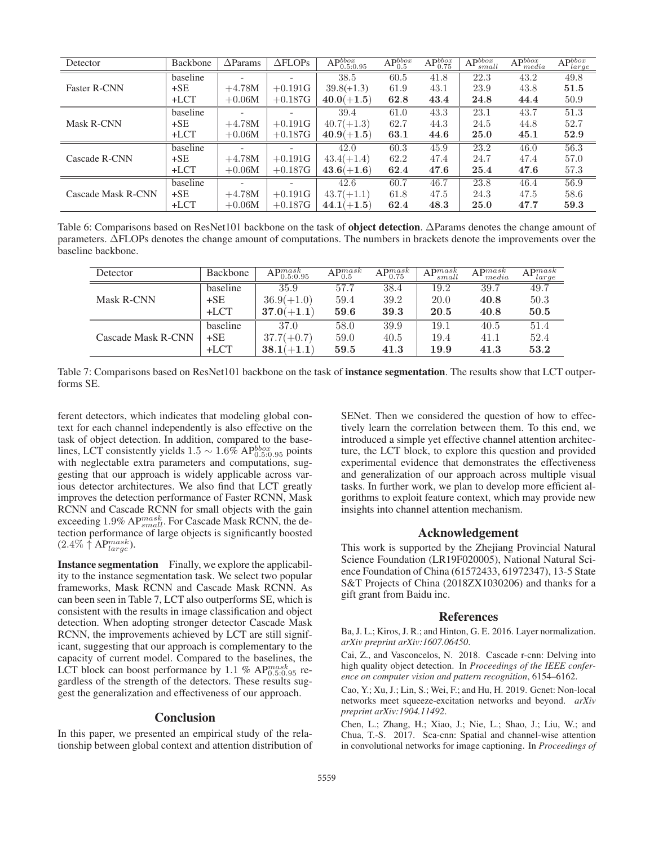| Detector            | Backbone | $\Delta$ Params          | $\triangle FLOPs$        | $AP_{0.5:0.95}^{bbox}$ | $\overline{\mathrm{AP}_{0.5}^{bbox}}$ | $AP_{0.75}^{bbox}$ | $AP^{bbox}$<br>small | $AP_{media}^{bbox}$ | $AP_{large}^{bbox}$ |
|---------------------|----------|--------------------------|--------------------------|------------------------|---------------------------------------|--------------------|----------------------|---------------------|---------------------|
|                     | baseline | $\overline{\phantom{0}}$ | $\overline{\phantom{a}}$ | 38.5                   | 60.5                                  | 41.8               | $\overline{22.3}$    | 43.2                | 49.8                |
| <b>Faster R-CNN</b> | $+SE$    | $+4.78M$                 | $+0.191G$                | $39.8(+1.3)$           | 61.9                                  | 43.1               | 23.9                 | 43.8                | 51.5                |
|                     | $+LCT$   | $+0.06M$                 | $+0.187G$                | $40.0(+1.5)$           | 62.8                                  | 43.4               | 24.8                 | 44.4                | 50.9                |
|                     | baseline |                          |                          | 39.4                   | 61.0                                  | 43.3               | 23.1                 | 43.7                | 51.3                |
| Mask R-CNN          | $+SE$    | $+4.78M$                 | $+0.191G$                | $40.7(+1.3)$           | 62.7                                  | 44.3               | 24.5                 | 44.8                | 52.7                |
|                     | $+LCT$   | $+0.06M$                 | $+0.187G$                | $40.9(+1.5)$           | 63.1                                  | 44.6               | 25.0                 | 45.1                | 52.9                |
| Cascade R-CNN       | baseline | $\overline{\phantom{a}}$ |                          | 42.0                   | 60.3                                  | 45.9               | 23.2                 | 46.0                | 56.3                |
|                     | $+SE$    | $+4.78M$                 | $+0.191G$                | $43.4(+1.4)$           | 62.2                                  | 47.4               | 24.7                 | 47.4                | 57.0                |
|                     | $+LCT$   | $+0.06M$                 | $+0.187G$                | $43.6(+1.6)$           | 62.4                                  | 47.6               | 25.4                 | 47.6                | 57.3                |
| Cascade Mask R-CNN  | baseline | $\overline{\phantom{0}}$ | $\overline{\phantom{a}}$ | 42.6                   | 60.7                                  | 46.7               | 23.8                 | 46.4                | 56.9                |
|                     | $+SE$    | $+4.78M$                 | $+0.191G$                | $43.7(+1.1)$           | 61.8                                  | 47.5               | 24.3                 | 47.5                | 58.6                |
|                     | $+LCT$   | $+0.06M$                 | $+0.187G$                | $44.1(+1.5)$           | 62.4                                  | 48.3               | 25.0                 | 47.7                | 59.3                |

Table 6: Comparisons based on ResNet101 backbone on the task of object detection. ΔParams denotes the change amount of parameters. ΔFLOPs denotes the change amount of computations. The numbers in brackets denote the improvements over the baseline backbone.

| Detector           | Backbone | $AP^{mask}_{0.5:0.95}$ | $AP^{mask}_{0.5}$ | $\mathrm{AP}^{mask}_{0.75}$ | $AP^{mask}$<br>small | $\Lambda$ D $mask$<br>media | $AP_{i}^{mask}$<br>large |
|--------------------|----------|------------------------|-------------------|-----------------------------|----------------------|-----------------------------|--------------------------|
|                    | baseline | 35.9                   | 57.7              | 38.4                        | 19.2                 | 39.7                        | 49.7                     |
| Mask R-CNN         | $+SE$    | $36.9(+1.0)$           | 59.4              | 39.2                        | 20.0                 | 40.8                        | 50.3                     |
|                    | $+LCT$   | $37.0(+1.1)$           | 59.6              | 39.3                        | 20.5                 | 40.8                        | 50.5                     |
|                    | baseline | 37.0                   | 58.0              | 39.9                        | 19.1                 | 40.5                        | 51.4                     |
| Cascade Mask R-CNN | $+SE$    | $37.7(+0.7)$           | 59.0              | 40.5                        | 19.4                 | 41.1                        | 52.4                     |
|                    | $+LCT$   | $38.1(+1.1)$           | 59.5              | 41.3                        | 19.9                 | 41.3                        | 53.2                     |

Table 7: Comparisons based on ResNet101 backbone on the task of **instance segmentation**. The results show that LCT outperforms SE.

ferent detectors, which indicates that modeling global context for each channel independently is also effective on the task of object detection. In addition, compared to the baselines, LCT consistently yields  $1.5 \sim 1.6\%$  AP $_{0.5:0.95}^{bbox}$  points with neglectable extra parameters and computations, suggesting that our approach is widely applicable across various detector architectures. We also find that LCT greatly improves the detection performance of Faster RCNN, Mask RCNN and Cascade RCNN for small objects with the gain exceeding 1.9% AP $^{mask}_{small}$ . For Cascade Mask RCNN, the detection performance of large objects is significantly boosted  $(2.4\% \uparrow AP^{mask}_{large}).$ 

Instance segmentation Finally, we explore the applicability to the instance segmentation task. We select two popular frameworks, Mask RCNN and Cascade Mask RCNN. As can been seen in Table 7, LCT also outperforms SE, which is consistent with the results in image classification and object detection. When adopting stronger detector Cascade Mask RCNN, the improvements achieved by LCT are still significant, suggesting that our approach is complementary to the capacity of current model. Compared to the baselines, the LCT block can boost performance by 1.1 %  $AP^{mask}_{0.5:0.95}$  regardless of the strength of the detectors. These results suggest the generalization and effectiveness of our approach.

#### Conclusion

In this paper, we presented an empirical study of the relationship between global context and attention distribution of

SENet. Then we considered the question of how to effectively learn the correlation between them. To this end, we introduced a simple yet effective channel attention architecture, the LCT block, to explore this question and provided experimental evidence that demonstrates the effectiveness and generalization of our approach across multiple visual tasks. In further work, we plan to develop more efficient algorithms to exploit feature context, which may provide new insights into channel attention mechanism.

# Acknowledgement

This work is supported by the Zhejiang Provincial Natural Science Foundation (LR19F020005), National Natural Science Foundation of China (61572433, 61972347), 13-5 State S&T Projects of China (2018ZX1030206) and thanks for a gift grant from Baidu inc.

#### References

Ba, J. L.; Kiros, J. R.; and Hinton, G. E. 2016. Layer normalization. *arXiv preprint arXiv:1607.06450*.

Cai, Z., and Vasconcelos, N. 2018. Cascade r-cnn: Delving into high quality object detection. In *Proceedings of the IEEE conference on computer vision and pattern recognition*, 6154–6162.

Cao, Y.; Xu, J.; Lin, S.; Wei, F.; and Hu, H. 2019. Gcnet: Non-local networks meet squeeze-excitation networks and beyond. *arXiv preprint arXiv:1904.11492*.

Chen, L.; Zhang, H.; Xiao, J.; Nie, L.; Shao, J.; Liu, W.; and Chua, T.-S. 2017. Sca-cnn: Spatial and channel-wise attention in convolutional networks for image captioning. In *Proceedings of*